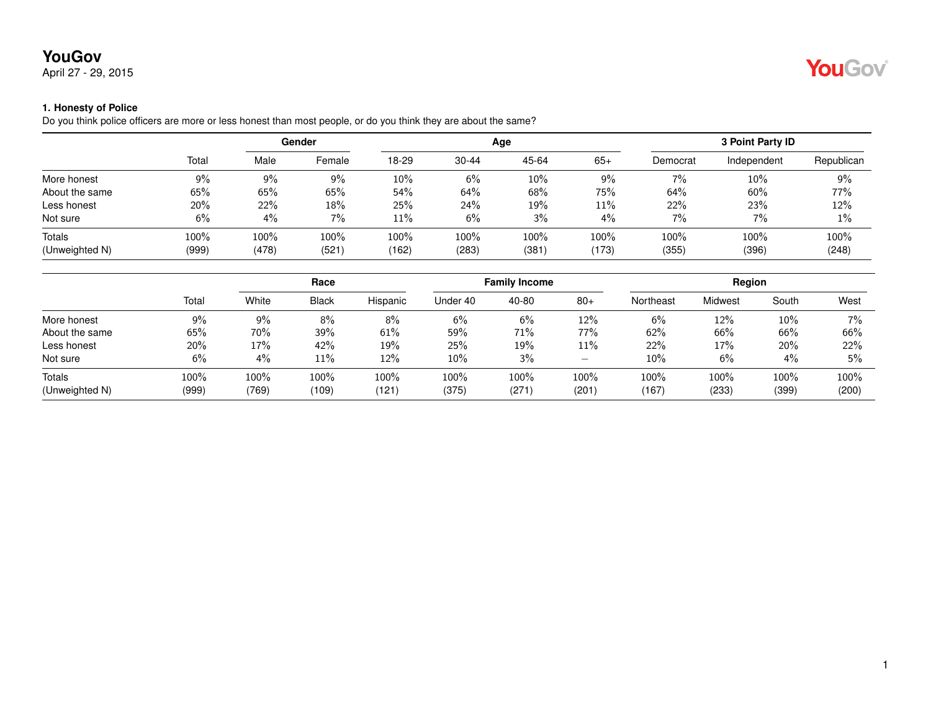April 27 - 29, 2015

#### **1. Honesty of Police**

Do you think police officers are more or less honest than most people, or do you think they are about the same?

|                |       | Gender |        |       |           | Age   | 3 Point Party ID |          |             |            |
|----------------|-------|--------|--------|-------|-----------|-------|------------------|----------|-------------|------------|
|                | Total | Male   | Female | 18-29 | $30 - 44$ | 45-64 | $65+$            | Democrat | Independent | Republican |
| More honest    | $9\%$ | 9%     | 9%     | 10%   | 6%        | 10%   | 9%               | 7%       | 10%         | 9%         |
| About the same | 65%   | 65%    | 65%    | 54%   | 64%       | 68%   | 75%              | 64%      | 60%         | 77%        |
| Less honest    | 20%   | 22%    | 18%    | 25%   | 24%       | 19%   | 11%              | 22%      | 23%         | 12%        |
| Not sure       | 6%    | $4\%$  | 7%     | 11%   | 6%        | 3%    | 4%               | 7%       | 7%          | 1%         |
| Totals         | 100%  | 100%   | 100%   | 100%  | 100%      | 100%  | 100%             | 100%     | 100%        | 100%       |
| (Unweighted N) | (999) | (478)  | (521)  | (162) | (283)     | (381) | (173)            | (355)    | (396)       | (248)      |

|                |       |       | Race         |          |          | <b>Family Income</b> |                          |           | Region  |       |       |  |
|----------------|-------|-------|--------------|----------|----------|----------------------|--------------------------|-----------|---------|-------|-------|--|
|                | Total | White | <b>Black</b> | Hispanic | Under 40 | 40-80                | $80+$                    | Northeast | Midwest | South | West  |  |
| More honest    | 9%    | 9%    | 8%           | $8\%$    | 6%       | 6%                   | 12%                      | 6%        | 12%     | 10%   | $7\%$ |  |
| About the same | 65%   | 70%   | 39%          | 61%      | 59%      | 71%                  | 77%                      | 62%       | 66%     | 66%   | 66%   |  |
| Less honest    | 20%   | 17%   | 42%          | 19%      | 25%      | 19%                  | 11%                      | 22%       | 17%     | 20%   | 22%   |  |
| Not sure       | 6%    | 4%    | 11%          | 12%      | $10\%$   | 3%                   | $\overline{\phantom{0}}$ | 10%       | 6%      | 4%    | 5%    |  |
| <b>Totals</b>  | 100%  | 100%  | 100%         | 100%     | 100%     | 100%                 | 100%                     | 100%      | 100%    | 100%  | 100%  |  |
| (Unweighted N) | (999) | (769) | (109)        | (121     | (375)    | (271)                | (201)                    | (167)     | (233)   | (399) | (200) |  |

YouGov®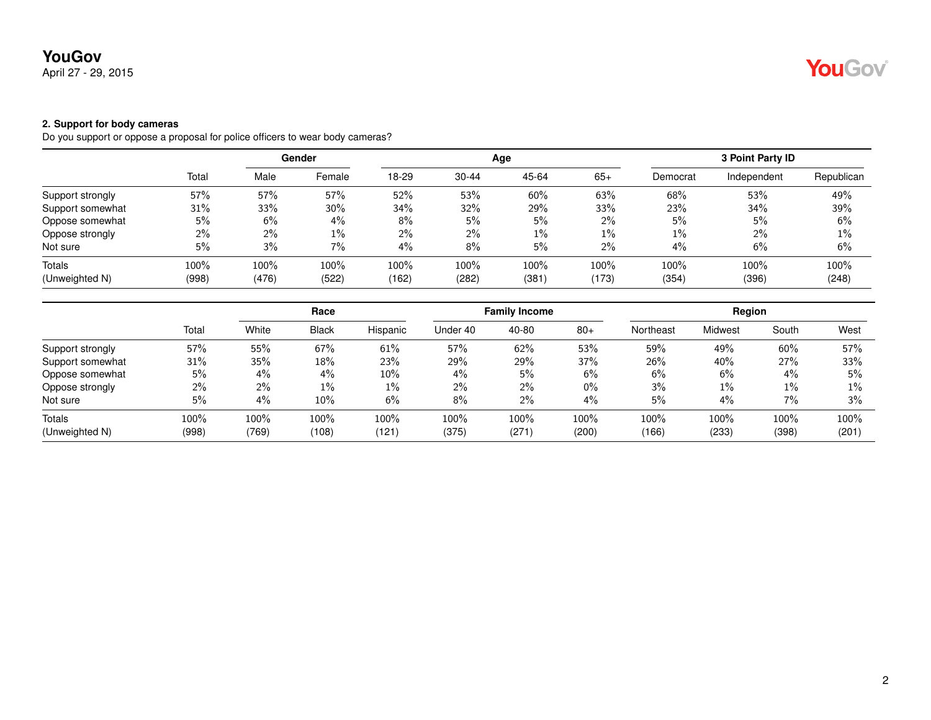April 27 - 29, 2015

#### **2. Support for body cameras**

Do you support or oppose a proposal for police officers to wear body cameras?

|                  |       | Gender |        |       |           | Age   |       | 3 Point Party ID |             |            |  |
|------------------|-------|--------|--------|-------|-----------|-------|-------|------------------|-------------|------------|--|
|                  | Total | Male   | Female | 18-29 | $30 - 44$ | 45-64 | $65+$ | Democrat         | Independent | Republican |  |
| Support strongly | 57%   | 57%    | 57%    | 52%   | 53%       | 60%   | 63%   | 68%              | 53%         | 49%        |  |
| Support somewhat | 31%   | 33%    | 30%    | 34%   | 32%       | 29%   | 33%   | 23%              | 34%         | 39%        |  |
| Oppose somewhat  | 5%    | 6%     | 4%     | 8%    | 5%        | 5%    | $2\%$ | 5%               | 5%          | 6%         |  |
| Oppose strongly  | $2\%$ | 2%     | $1\%$  | $2\%$ | $2\%$     | $1\%$ | $1\%$ | $1\%$            | $2\%$       | 1%         |  |
| Not sure         | 5%    | 3%     | 7%     | $4\%$ | 8%        | 5%    | 2%    | 4%               | 6%          | 6%         |  |
| Totals           | 100%  | 100%   | 100%   | 100%  | 100%      | 100%  | 100%  | 100%             | 100%        | 100%       |  |
| (Unweighted N)   | (998) | (476)  | (522)  | (162) | (282)     | (381) | (173) | (354)            | (396)       | (248)      |  |

|                  |       | Race  |              |          |          | <b>Family Income</b> |       | Region    |                |        |       |
|------------------|-------|-------|--------------|----------|----------|----------------------|-------|-----------|----------------|--------|-------|
|                  | Total | White | <b>Black</b> | Hispanic | Under 40 | 40-80                | $80+$ | Northeast | <b>Midwest</b> | South  | West  |
| Support strongly | 57%   | 55%   | 67%          | 61%      | 57%      | 62%                  | 53%   | 59%       | 49%            | $60\%$ | 57%   |
| Support somewhat | 31%   | 35%   | 18%          | 23%      | 29%      | 29%                  | 37%   | 26%       | 40%            | 27%    | 33%   |
| Oppose somewhat  | 5%    | 4%    | 4%           | $10\%$   | 4%       | 5%                   | 6%    | 6%        | 6%             | 4%     | 5%    |
| Oppose strongly  | 2%    | 2%    | $1\%$        | $1\%$    | 2%       | $2\%$                | $0\%$ | 3%        | $1\%$          | $1\%$  | $1\%$ |
| Not sure         | 5%    | $4\%$ | $10\%$       | 6%       | 8%       | $2\%$                | 4%    | 5%        | 4%             | 7%     | 3%    |
| Totals           | 100%  | 100%  | 100%         | 100%     | 100%     | 100%                 | 100%  | 100%      | 100%           | 100%   | 100%  |
| (Unweighted N)   | (998) | (769) | (108)        | (121)    | (375)    | (271)                | (200) | (166)     | (233)          | (398)  | (201) |

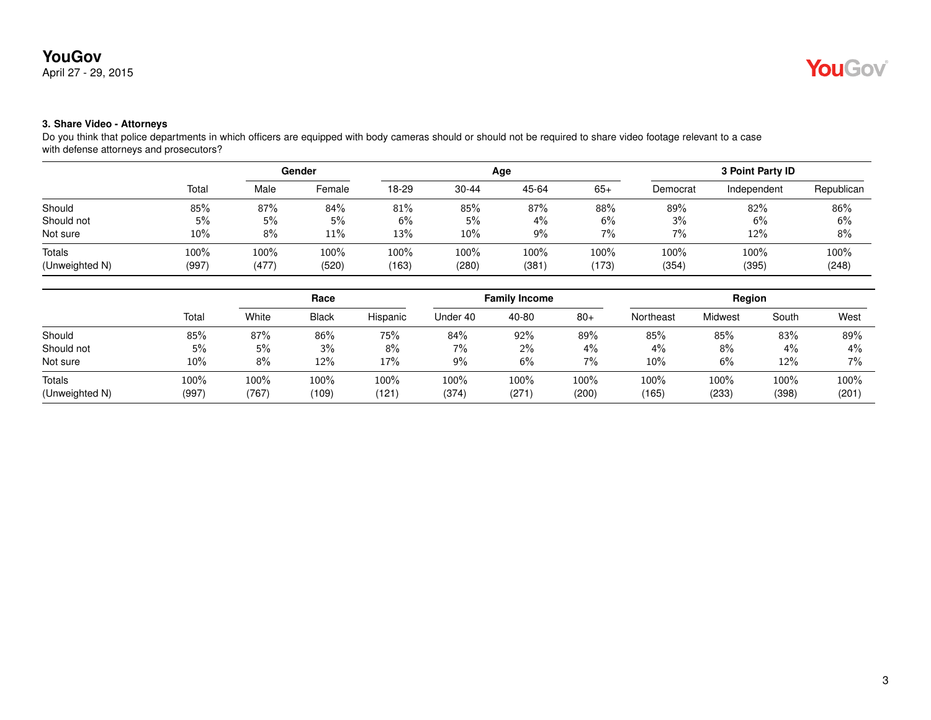### April 27 - 29, 2015

### **3. Share Video - Attorneys**

Do you think that police departments in which officers are equipped with body cameras should or should not be required to share video footage relevant to a case with defense attorneys and prosecutors?

|                |       |       | Gender  |       |           | Age   | 3 Point Party ID |          |             |            |
|----------------|-------|-------|---------|-------|-----------|-------|------------------|----------|-------------|------------|
|                | Total | Male  | Female  | 18-29 | $30 - 44$ | 45-64 | $65+$            | Democrat | Independent | Republican |
| Should         | 85%   | 87%   | 84%     | 81%   | 85%       | 87%   | 88%              | 89%      | 82%         | 86%        |
| Should not     | 5%    | 5%    | 5%      | 6%    | 5%        | $4\%$ | 6%               | 3%       | 6%          | $6\%$      |
| Not sure       | 10%   | 8%    | 11%     | 13%   | 10%       | 9%    | $7\%$            | 7%       | 12%         | 8%         |
| Totals         | 100%  | 100%  | $100\%$ | 100%  | 100%      | 100%  | 100%             | 100%     | 100%        | 100%       |
| (Unweighted N) | (997) | (477) | (520)   | (163) | (280)     | (381) | (173)            | (354)    | (395)       | (248)      |

|                                 |               | Race          |               |               |               | <b>Family Income</b> |               |               | Region        |               |               |  |
|---------------------------------|---------------|---------------|---------------|---------------|---------------|----------------------|---------------|---------------|---------------|---------------|---------------|--|
|                                 | Total         | White         | <b>Black</b>  | Hispanic      | Under 40      | 40-80                | $80+$         | Northeast     | Midwest       | South         | West          |  |
| Should                          | 85%           | 87%           | 86%           | 75%           | 84%           | 92%                  | 89%           | 85%           | 85%           | 83%           | 89%           |  |
| Should not                      | 5%            | 5%            | 3%            | 8%            | $7\%$         | $2\%$                | $4\%$         | 4%            | 8%            | $4\%$         | 4%            |  |
| Not sure                        | 10%           | 8%            | 12%           | 17%           | $9\%$         | $6\%$                | 7%            | 10%           | 6%            | 12%           | 7%            |  |
| <b>Totals</b><br>(Unweighted N) | 100%<br>(997) | 100%<br>(767) | 100%<br>(109) | 100%<br>(121) | 100%<br>(374) | $100\%$<br>(271)     | 100%<br>(200) | 100%<br>(165) | 100%<br>(233) | 100%<br>(398) | 100%<br>(201) |  |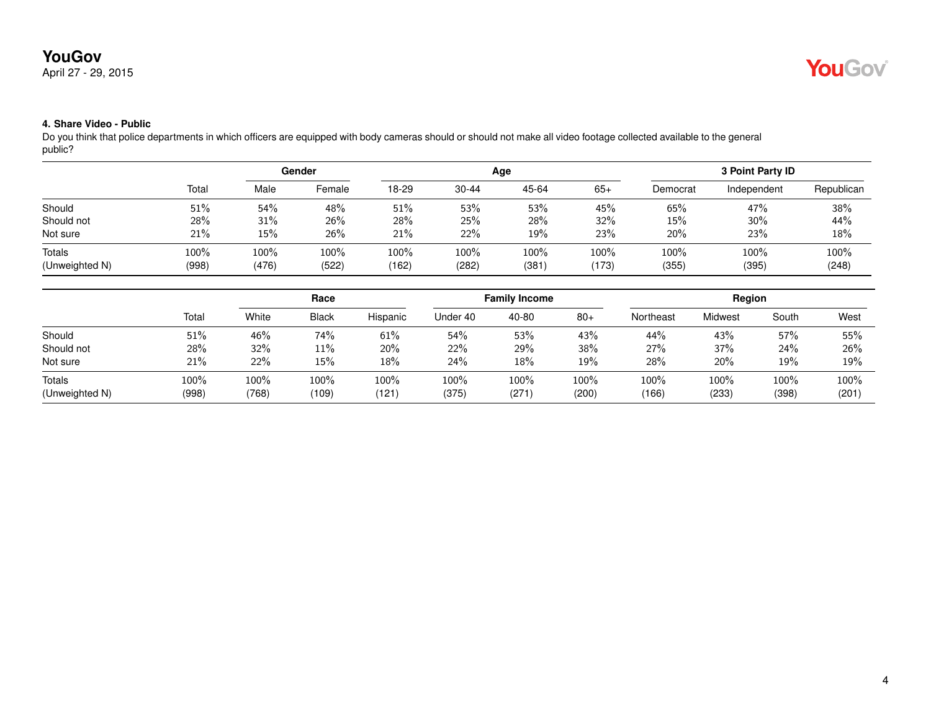April 27 - 29, 2015



#### **4. Share Video - Public**

Do you think that police departments in which officers are equipped with body cameras should or should not make all video footage collected available to the general public?

|                |       | Gender |        |       |           | Age   | <b>3 Point Party ID</b> |          |             |            |
|----------------|-------|--------|--------|-------|-----------|-------|-------------------------|----------|-------------|------------|
|                | Total | Male   | Female | 18-29 | $30 - 44$ | 45-64 | $65+$                   | Democrat | Independent | Republican |
| Should         | 51%   | 54%    | 48%    | 51%   | 53%       | 53%   | 45%                     | 65%      | 47%         | 38%        |
| Should not     | 28%   | 31%    | 26%    | 28%   | 25%       | 28%   | 32%                     | 15%      | 30%         | 44%        |
| Not sure       | 21%   | 15%    | 26%    | 21%   | 22%       | 19%   | 23%                     | 20%      | 23%         | 18%        |
| <b>Totals</b>  | 100%  | 100%   | 100%   | 100%  | 100%      | 100%  | 100%                    | 100%     | 100%        | 100%       |
| (Unweighted N) | (998) | (476)  | (522)  | (162) | (282)     | (381) | (173)                   | (355)    | (395)       | (248)      |

|                                 |               | Race          |               |              |               | <b>Family Income</b> |               | Region        |               |               |               |
|---------------------------------|---------------|---------------|---------------|--------------|---------------|----------------------|---------------|---------------|---------------|---------------|---------------|
|                                 | Total         | White         | <b>Black</b>  | Hispanic     | Under 40      | 40-80                | $80+$         | Northeast     | Midwest       | South         | West          |
| Should                          | 51%           | 46%           | 74%           | 61%          | 54%           | 53%                  | 43%           | 44%           | 43%           | 57%           | 55%           |
| Should not                      | 28%           | 32%           | 11%           | 20%          | 22%           | 29%                  | 38%           | 27%           | 37%           | 24%           | 26%           |
| Not sure                        | 21%           | 22%           | 15%           | 18%          | 24%           | 18%                  | 19%           | 28%           | 20%           | 19%           | 19%           |
| <b>Totals</b><br>(Unweighted N) | 100%<br>(998) | 100%<br>(768) | 100%<br>(109) | 100%<br>(121 | 100%<br>(375) | 100%<br>(271)        | 100%<br>(200) | 100%<br>(166) | 100%<br>(233) | 100%<br>(398) | 100%<br>(201) |